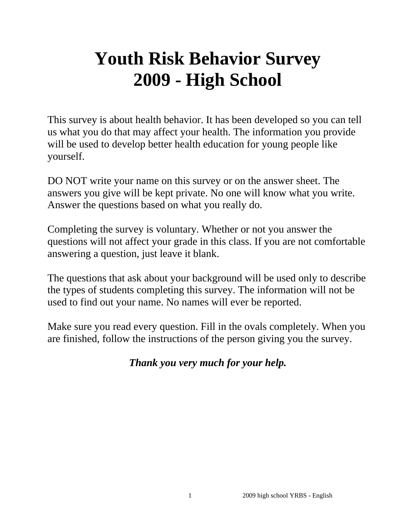# **Youth Risk Behavior Survey 2009 - High School**

This survey is about health behavior. It has been developed so you can tell us what you do that may affect your health. The information you provide will be used to develop better health education for young people like yourself.

DO NOT write your name on this survey or on the answer sheet. The answers you give will be kept private. No one will know what you write. Answer the questions based on what you really do.

Completing the survey is voluntary. Whether or not you answer the questions will not affect your grade in this class. If you are not comfortable answering a question, just leave it blank.

The questions that ask about your background will be used only to describe the types of students completing this survey. The information will not be used to find out your name. No names will ever be reported.

Make sure you read every question. Fill in the ovals completely. When you are finished, follow the instructions of the person giving you the survey.

# *Thank you very much for your help.*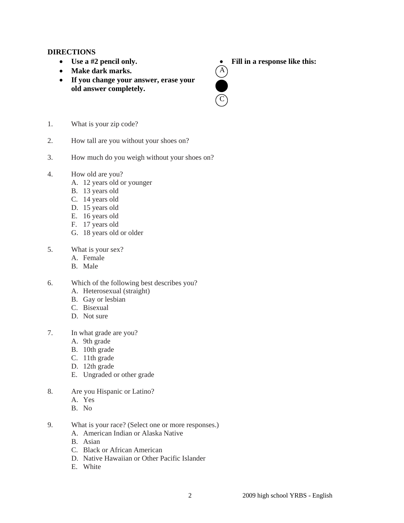# **DIRECTIONS**

- **Use a #2 pencil only.**
- Make dark marks.
- **If you change your answer, erase your old answer completely.**
- **Fill in a response like this:**<br> **A**



- 1. What is your zip code?
- 2. How tall are you without your shoes on?
- 3. How much do you weigh without your shoes on?
- 4. How old are you?
	- A. 12 years old or younger
	- B. 13 years old
	- C. 14 years old
	- D. 15 years old
	- E. 16 years old
	- F. 17 years old
	- G. 18 years old or older
- 5. What is your sex?
	- A. Female
	- B. Male
- 6. Which of the following best describes you?
	- A. Heterosexual (straight)
	- B. Gay or lesbian
	- C. Bisexual
	- D. Not sure
- 7. In what grade are you?
	- A. 9th grade
	- B. 10th grade
	- C. 11th grade
	- D. 12th grade
	- E. Ungraded or other grade
- 8. Are you Hispanic or Latino?
	- A. Yes
	- B. No
- 9. What is your race? (Select one or more responses.)
	- A. American Indian or Alaska Native
	- B. Asian
	- C. Black or African American
	- D. Native Hawaiian or Other Pacific Islander
	- E. White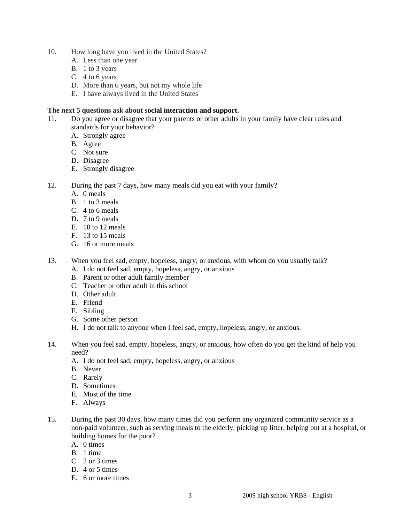- 10. How long have you lived in the United States?
	- A. Less than one year
	- B. 1 to 3 years
	- C. 4 to 6 years
	- D. More than 6 years, but not my whole life
	- E. I have always lived in the United States

# **The next 5 questions ask about social interaction and support.**

- 11. Do you agree or disagree that your parents or other adults in your family have clear rules and standards for your behavior?
	- A. Strongly agree
	- B. Agree
	- C. Not sure
	- D. Disagree
	- E. Strongly disagree
- 12. During the past 7 days, how many meals did you eat with your family?
	- A. 0 meals
	- B. 1 to 3 meals
	- C. 4 to 6 meals
	- D. 7 to 9 meals
	- E. 10 to 12 meals
	- F. 13 to 15 meals
	- G. 16 or more meals
- 13. When you feel sad, empty, hopeless, angry, or anxious, with whom do you usually talk?
	- A. I do not feel sad, empty, hopeless, angry, or anxious
	- B. Parent or other adult family member
	- C. Teacher or other adult in this school
	- D. Other adult
	- E. Friend
	- F. Sibling
	- G. Some other person
	- H. I do not talk to anyone when I feel sad, empty, hopeless, angry, or anxious.
- 14. When you feel sad, empty, hopeless, angry, or anxious, how often do you get the kind of help you need?
	- A. I do not feel sad, empty, hopeless, angry, or anxious
	- B. Never
	- C. Rarely
	- D. Sometimes
	- E. Most of the time
	- F. Always
- 15. During the past 30 days, how many times did you perform any organized community service as a non-paid volunteer, such as serving meals to the elderly, picking up litter, helping out at a hospital, or building homes for the poor?
	- A. 0 times
	- B. 1 time
	- C. 2 or 3 times
	- D. 4 or 5 times
	- E. 6 or more times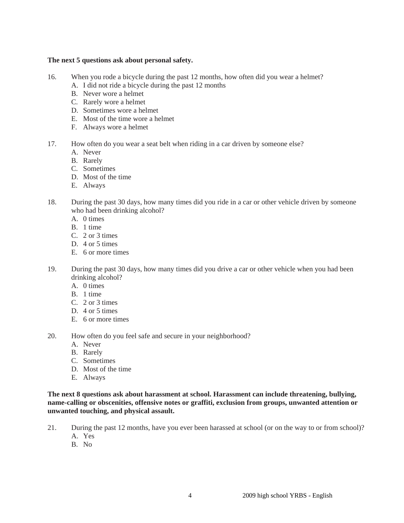# **The next 5 questions ask about personal safety.**

- 16. When you rode a bicycle during the past 12 months, how often did you wear a helmet?
	- A. I did not ride a bicycle during the past 12 months
	- B. Never wore a helmet
	- C. Rarely wore a helmet
	- D. Sometimes wore a helmet
	- E. Most of the time wore a helmet
	- F. Always wore a helmet
- 17. How often do you wear a seat belt when riding in a car driven by someone else?
	- A. Never
	- B. Rarely
	- C. Sometimes
	- D. Most of the time
	- E. Always
- 18. During the past 30 days, how many times did you ride in a car or other vehicle driven by someone who had been drinking alcohol?
	- A. 0 times
	- B. 1 time
	- C. 2 or 3 times
	- D. 4 or 5 times
	- E. 6 or more times
- 19. During the past 30 days, how many times did you drive a car or other vehicle when you had been drinking alcohol?
	- A. 0 times
	- B. 1 time
	- $C = 2$  or 3 times
	- D. 4 or 5 times
	- E. 6 or more times
- 20. How often do you feel safe and secure in your neighborhood?
	- A. Never
	- B. Rarely
	- C. Sometimes
	- D. Most of the time
	- E. Always

**The next 8 questions ask about harassment at school. Harassment can include threatening, bullying, name-calling or obscenities, offensive notes or graffiti, exclusion from groups, unwanted attention or unwanted touching, and physical assault.** 

- 21. During the past 12 months, have you ever been harassed at school (or on the way to or from school)? A. Yes
	- B. No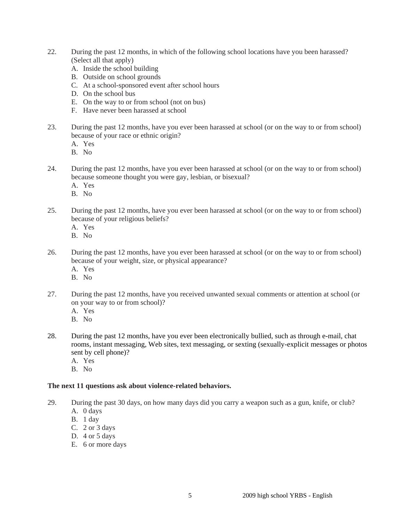- 22. During the past 12 months, in which of the following school locations have you been harassed? (Select all that apply)
	- A. Inside the school building
	- B. Outside on school grounds
	- C. At a school-sponsored event after school hours
	- D. On the school bus
	- E. On the way to or from school (not on bus)
	- F. Have never been harassed at school
- 23. During the past 12 months, have you ever been harassed at school (or on the way to or from school) because of your race or ethnic origin?
	- A. Yes
	- B. No
- 24. During the past 12 months, have you ever been harassed at school (or on the way to or from school) because someone thought you were gay, lesbian, or bisexual?
	- A. Yes
	- B. No
- 25. During the past 12 months, have you ever been harassed at school (or on the way to or from school) because of your religious beliefs?
	- A. Yes
	- B. No
- 26. During the past 12 months, have you ever been harassed at school (or on the way to or from school) because of your weight, size, or physical appearance?
	- A. Yes
	- B. No
- 27. During the past 12 months, have you received unwanted sexual comments or attention at school (or on your way to or from school)?
	- A. Yes
	- B. No
- 28. During the past 12 months, have you ever been electronically bullied, such as through e-mail, chat rooms, instant messaging, Web sites, text messaging, or sexting (sexually-explicit messages or photos sent by cell phone)?
	- A. Yes
	- B. No

## **The next 11 questions ask about violence-related behaviors.**

- 29. During the past 30 days, on how many days did you carry a weapon such as a gun, knife, or club?
	- A. 0 days
	- B. 1 day
	- C. 2 or 3 days
	- D.  $4$  or  $5$  days
	- E. 6 or more days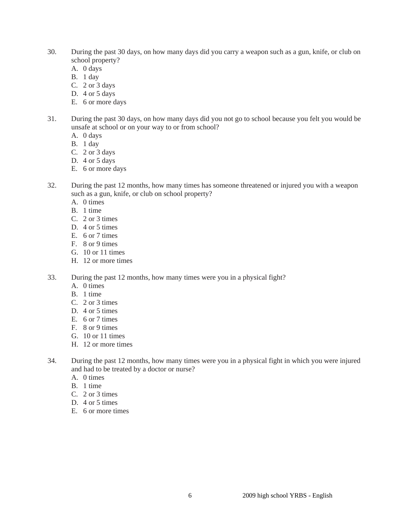- 30. During the past 30 days, on how many days did you carry a weapon such as a gun, knife, or club on school property?
	- A. 0 days
	- B. 1 day
	- C. 2 or 3 days
	- D. 4 or 5 days
	- E. 6 or more days
- 31. During the past 30 days, on how many days did you not go to school because you felt you would be unsafe at school or on your way to or from school?
	- A. 0 days
	- B. 1 day
	- C. 2 or 3 days
	- D. 4 or 5 days
	- E. 6 or more days
- 32. During the past 12 months, how many times has someone threatened or injured you with a weapon such as a gun, knife, or club on school property?
	- A. 0 times
	- B. 1 time
	- C. 2 or 3 times
	- D. 4 or 5 times
	- E. 6 or 7 times
	- F. 8 or 9 times
	- G. 10 or 11 times
	- H. 12 or more times
- 33. During the past 12 months, how many times were you in a physical fight?
	- A. 0 times
	- B. 1 time
	- C. 2 or 3 times
	- D. 4 or 5 times
	- E. 6 or 7 times
	- F. 8 or 9 times
	- G. 10 or 11 times
	- H. 12 or more times
- 34. During the past 12 months, how many times were you in a physical fight in which you were injured and had to be treated by a doctor or nurse?
	- A. 0 times
	- B. 1 time
	- C. 2 or 3 times
	- D. 4 or 5 times
	- E. 6 or more times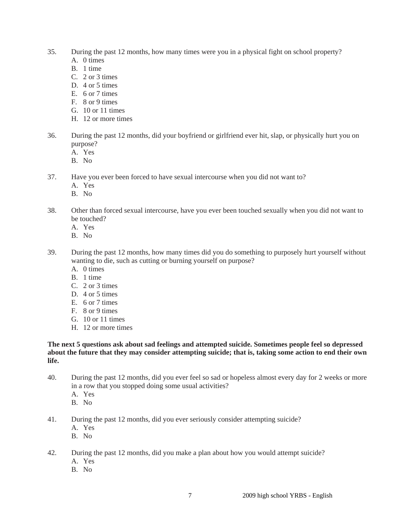- 35. During the past 12 months, how many times were you in a physical fight on school property?
	- A. 0 times
	- B. 1 time
	- C. 2 or 3 times
	- D. 4 or 5 times
	- E. 6 or 7 times
	- F. 8 or 9 times
	- G. 10 or 11 times
	- H. 12 or more times
- 36. During the past 12 months, did your boyfriend or girlfriend ever hit, slap, or physically hurt you on purpose?
	- A. Yes
	- B. No
- 37. Have you ever been forced to have sexual intercourse when you did not want to?
	- A. Yes
	- B. No
- 38. Other than forced sexual intercourse, have you ever been touched sexually when you did not want to be touched?
	- A. Yes
	- B. No
- 39. During the past 12 months, how many times did you do something to purposely hurt yourself without wanting to die, such as cutting or burning yourself on purpose?
	- A. 0 times
	- B. 1 time
	- C. 2 or 3 times
	- D. 4 or 5 times
	- E. 6 or 7 times
	- F. 8 or 9 times
	- G. 10 or 11 times
	- H. 12 or more times

**The next 5 questions ask about sad feelings and attempted suicide. Sometimes people feel so depressed about the future that they may consider attempting suicide; that is, taking some action to end their own life.** 

- 40. During the past 12 months, did you ever feel so sad or hopeless almost every day for 2 weeks or more in a row that you stopped doing some usual activities?
	- A. Yes
	- B. No
- 41. During the past 12 months, did you ever seriously consider attempting suicide?
	- A. Yes
	- B. No

42. During the past 12 months, did you make a plan about how you would attempt suicide?

- A. Yes
- B. No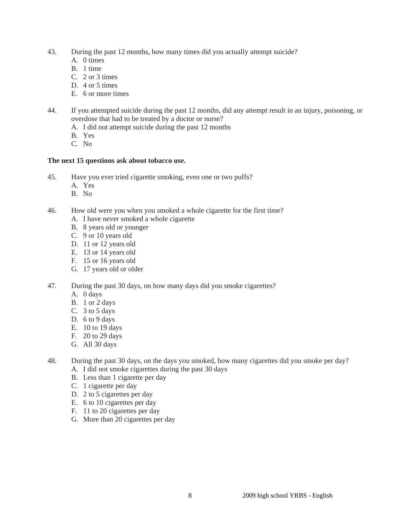- 43. During the past 12 months, how many times did you actually attempt suicide?
	- A. 0 times
	- B. 1 time
	- C. 2 or 3 times
	- D. 4 or 5 times
	- E. 6 or more times
- 44. If you attempted suicide during the past 12 months, did any attempt result in an injury, poisoning, or overdose that had to be treated by a doctor or nurse?
	- A. I did not attempt suicide during the past 12 months
	- B. Yes
	- C. No

# **The next 15 questions ask about tobacco use.**

- 45. Have you ever tried cigarette smoking, even one or two puffs?
	- A. Yes
	- B. No
- 46. How old were you when you smoked a whole cigarette for the first time?
	- A. I have never smoked a whole cigarette
	- B. 8 years old or younger
	- C. 9 or 10 years old
	- D. 11 or 12 years old
	- E. 13 or 14 years old
	- F. 15 or 16 years old
	- G. 17 years old or older
- 47. During the past 30 days, on how many days did you smoke cigarettes?
	- A. 0 days
	- B. 1 or 2 days
	- C.  $3$  to  $5$  days
	- D. 6 to 9 days
	- E. 10 to 19 days
	- F. 20 to 29 days
	- G. All 30 days
- 48. During the past 30 days, on the days you smoked, how many cigarettes did you smoke per day?
	- A. I did not smoke cigarettes during the past 30 days
	- B. Less than 1 cigarette per day
	- C. 1 cigarette per day
	- D. 2 to 5 cigarettes per day
	- E. 6 to 10 cigarettes per day
	- F. 11 to 20 cigarettes per day
	- G. More than 20 cigarettes per day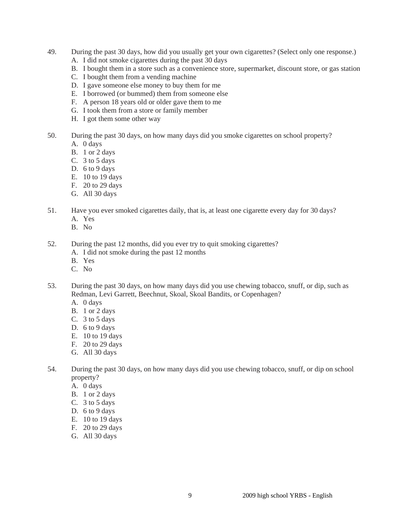- 49. During the past 30 days, how did you usually get your own cigarettes? (Select only one response.)
	- A. I did not smoke cigarettes during the past 30 days
	- B. I bought them in a store such as a convenience store, supermarket, discount store, or gas station
	- C. I bought them from a vending machine
	- D. I gave someone else money to buy them for me
	- E. I borrowed (or bummed) them from someone else
	- F. A person 18 years old or older gave them to me
	- G. I took them from a store or family member
	- H. I got them some other way
- 50. During the past 30 days, on how many days did you smoke cigarettes on school property?
	- A. 0 days
	- B. 1 or 2 days
	- C. 3 to 5 days
	- D. 6 to 9 days
	- E. 10 to 19 days
	- F. 20 to 29 days
	- G. All 30 days
- 51. Have you ever smoked cigarettes daily, that is, at least one cigarette every day for 30 days?
	- A. Yes
	- B. No
- 52. During the past 12 months, did you ever try to quit smoking cigarettes?
	- A. I did not smoke during the past 12 months
	- B. Yes
	- C. No
- 53. During the past 30 days, on how many days did you use chewing tobacco, snuff, or dip, such as Redman, Levi Garrett, Beechnut, Skoal, Skoal Bandits, or Copenhagen?
	- A. 0 days
	- B. 1 or 2 days
	- C. 3 to 5 days
	- D. 6 to 9 days
	- E. 10 to 19 days
	- F. 20 to 29 days
	- G. All 30 days
- 54. During the past 30 days, on how many days did you use chewing tobacco, snuff, or dip on school property?
	- A. 0 days
	- B. 1 or 2 days
	- C. 3 to 5 days
	- D. 6 to 9 days
	- E. 10 to 19 days
	- F. 20 to 29 days
	- G. All 30 days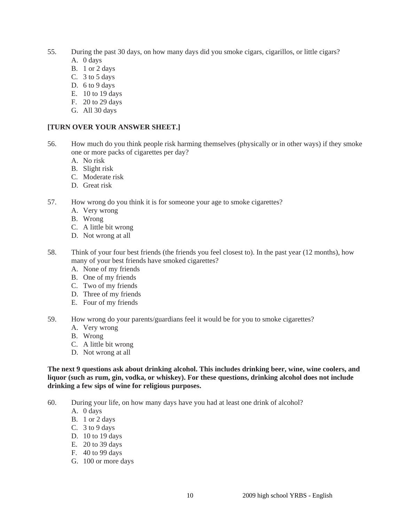- 55. During the past 30 days, on how many days did you smoke cigars, cigarillos, or little cigars? A. 0 days
	- B. 1 or 2 days
	- C.  $3$  to  $5$  days
	- D. 6 to 9 days
	- E. 10 to 19 days
	- F. 20 to 29 days
	- G. All 30 days

# **[TURN OVER YOUR ANSWER SHEET.]**

- 56. How much do you think people risk harming themselves (physically or in other ways) if they smoke one or more packs of cigarettes per day?
	- A. No risk
	- B. Slight risk
	- C. Moderate risk
	- D. Great risk
- 57. How wrong do you think it is for someone your age to smoke cigarettes?
	- A. Very wrong
	- B. Wrong
	- C. A little bit wrong
	- D. Not wrong at all
- 58. Think of your four best friends (the friends you feel closest to). In the past year (12 months), how many of your best friends have smoked cigarettes?
	- A. None of my friends
	- B. One of my friends
	- C. Two of my friends
	- D. Three of my friends
	- E. Four of my friends
- 59. How wrong do your parents/guardians feel it would be for you to smoke cigarettes?
	- A. Very wrong
	- B. Wrong
	- C. A little bit wrong
	- D. Not wrong at all

**The next 9 questions ask about drinking alcohol. This includes drinking beer, wine, wine coolers, and liquor (such as rum, gin, vodka, or whiskey). For these questions, drinking alcohol does not include drinking a few sips of wine for religious purposes.** 

- 60. During your life, on how many days have you had at least one drink of alcohol?
	- A. 0 days
	- B. 1 or 2 days
	- C. 3 to 9 days
	- D. 10 to 19 days
	- E. 20 to 39 days
	- F. 40 to 99 days
	- G. 100 or more days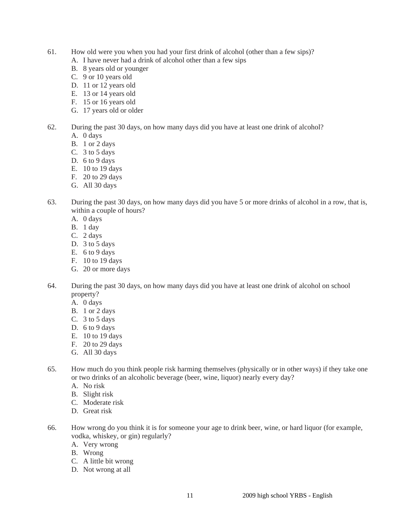- 61. How old were you when you had your first drink of alcohol (other than a few sips)?
	- A. I have never had a drink of alcohol other than a few sips
	- B. 8 years old or younger
	- C. 9 or 10 years old
	- D. 11 or 12 years old
	- E. 13 or 14 years old
	- F. 15 or 16 years old
	- G. 17 years old or older
- 62. During the past 30 days, on how many days did you have at least one drink of alcohol?
	- A. 0 days
	- B. 1 or 2 days
	- C. 3 to 5 days
	- D. 6 to 9 days
	- E. 10 to 19 days
	- F. 20 to 29 days
	- G. All 30 days
- 63. During the past 30 days, on how many days did you have 5 or more drinks of alcohol in a row, that is, within a couple of hours?
	- A. 0 days
	- B. 1 day
	- C. 2 days
	- D.  $3$  to  $5$  days
	- E. 6 to 9 days
	- F. 10 to 19 days
	- G. 20 or more days
- 64. During the past 30 days, on how many days did you have at least one drink of alcohol on school property?
	- A. 0 days
	- B. 1 or 2 days
	- C. 3 to 5 days
	- D. 6 to 9 days
	- E. 10 to 19 days
	- F. 20 to 29 days
	- G. All 30 days
- 65. How much do you think people risk harming themselves (physically or in other ways) if they take one or two drinks of an alcoholic beverage (beer, wine, liquor) nearly every day?
	- A. No risk
	- B. Slight risk
	- C. Moderate risk
	- D. Great risk
- 66. How wrong do you think it is for someone your age to drink beer, wine, or hard liquor (for example, vodka, whiskey, or gin) regularly?
	- A. Very wrong
	- B. Wrong
	- C. A little bit wrong
	- D. Not wrong at all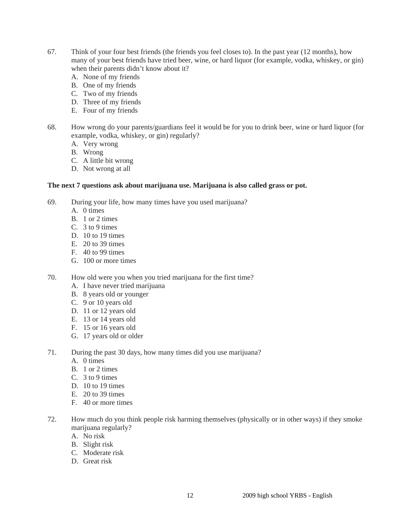- 67. Think of your four best friends (the friends you feel closes to). In the past year (12 months), how many of your best friends have tried beer, wine, or hard liquor (for example, vodka, whiskey, or gin) when their parents didn't know about it?
	- A. None of my friends
	- B. One of my friends
	- C. Two of my friends
	- D. Three of my friends
	- E. Four of my friends
- 68. How wrong do your parents/guardians feel it would be for you to drink beer, wine or hard liquor (for example, vodka, whiskey, or gin) regularly?
	- A. Very wrong
	- B. Wrong
	- C. A little bit wrong
	- D. Not wrong at all

# **The next 7 questions ask about marijuana use. Marijuana is also called grass or pot.**

- 69. During your life, how many times have you used marijuana?
	- A. 0 times
	- B. 1 or 2 times
	- C. 3 to 9 times
	- D. 10 to 19 times
	- E. 20 to 39 times
	- F. 40 to 99 times
	- G. 100 or more times

70. How old were you when you tried marijuana for the first time?

- A. I have never tried marijuana
- B. 8 years old or younger
- C. 9 or 10 years old
- D. 11 or 12 years old
- E. 13 or 14 years old
- F. 15 or 16 years old
- G. 17 years old or older
- 71. During the past 30 days, how many times did you use marijuana?
	- A. 0 times
	- B. 1 or 2 times
	- C. 3 to 9 times
	- D. 10 to 19 times
	- E.  $20 \text{ to } 39 \text{ times}$
	- F. 40 or more times
- 72. How much do you think people risk harming themselves (physically or in other ways) if they smoke marijuana regularly?
	- A. No risk
	- B. Slight risk
	- C. Moderate risk
	- D. Great risk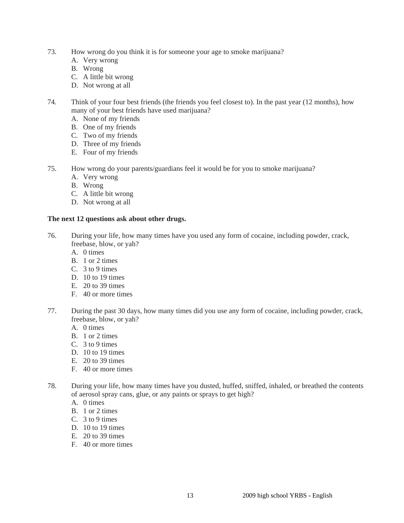- 73. How wrong do you think it is for someone your age to smoke marijuana?
	- A. Very wrong
	- B. Wrong
	- C. A little bit wrong
	- D. Not wrong at all
- 74. Think of your four best friends (the friends you feel closest to). In the past year (12 months), how many of your best friends have used marijuana?
	- A. None of my friends
	- B. One of my friends
	- C. Two of my friends
	- D. Three of my friends
	- E. Four of my friends
- 75. How wrong do your parents/guardians feel it would be for you to smoke marijuana?
	- A. Very wrong
	- B. Wrong
	- C. A little bit wrong
	- D. Not wrong at all

# **The next 12 questions ask about other drugs.**

- 76. During your life, how many times have you used any form of cocaine, including powder, crack, freebase, blow, or yah?
	- A. 0 times
	- B. 1 or 2 times
	- C. 3 to 9 times
	- D. 10 to 19 times
	- E. 20 to 39 times
	- F. 40 or more times
- 77. During the past 30 days, how many times did you use any form of cocaine, including powder, crack, freebase, blow, or yah?
	- A. 0 times
	- B. 1 or 2 times
	- C. 3 to 9 times
	- D. 10 to 19 times
	- E. 20 to 39 times
	- F. 40 or more times
- 78. During your life, how many times have you dusted, huffed, sniffed, inhaled, or breathed the contents of aerosol spray cans, glue, or any paints or sprays to get high?
	- A. 0 times
	- B. 1 or 2 times
	- C. 3 to 9 times
	- D. 10 to 19 times
	- E. 20 to 39 times
	- F. 40 or more times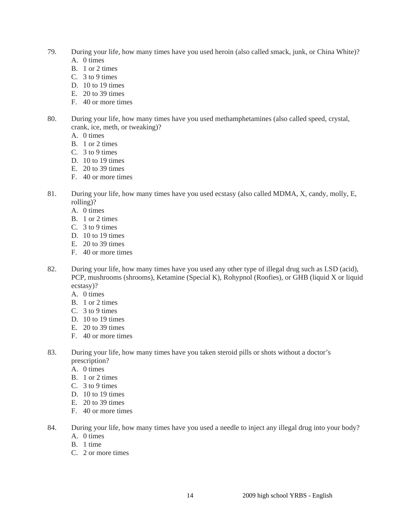- 79. During your life, how many times have you used heroin (also called smack, junk, or China White)? A. 0 times
	- B. 1 or 2 times
	- C. 3 to 9 times
	- D. 10 to 19 times
	- E. 20 to 39 times
	- F. 40 or more times
- 80. During your life, how many times have you used methamphetamines (also called speed, crystal, crank, ice, meth, or tweaking)?
	- A. 0 times
	- B. 1 or 2 times
	- C. 3 to 9 times
	- D. 10 to 19 times
	- E. 20 to 39 times
	- F. 40 or more times
- 81. During your life, how many times have you used ecstasy (also called MDMA, X, candy, molly, E, rolling)?
	- A. 0 times
	- B. 1 or 2 times
	- C. 3 to 9 times
	- D. 10 to 19 times
	- E. 20 to 39 times
	- F. 40 or more times
- 82. During your life, how many times have you used any other type of illegal drug such as LSD (acid), PCP, mushrooms (shrooms), Ketamine (Special K), Rohypnol (Roofies), or GHB (liquid X or liquid ecstasy)?
	- A. 0 times
	- B. 1 or 2 times
	- $C = 3$  to 9 times
	- D. 10 to 19 times
	- E. 20 to 39 times
	- F. 40 or more times
- 83. During your life, how many times have you taken steroid pills or shots without a doctor's prescription?
	- A. 0 times
	- B. 1 or 2 times
	- C. 3 to 9 times
	- D. 10 to 19 times
	- E. 20 to 39 times
	- F. 40 or more times
- 84. During your life, how many times have you used a needle to inject any illegal drug into your body? A. 0 times
	- B. 1 time
	- C. 2 or more times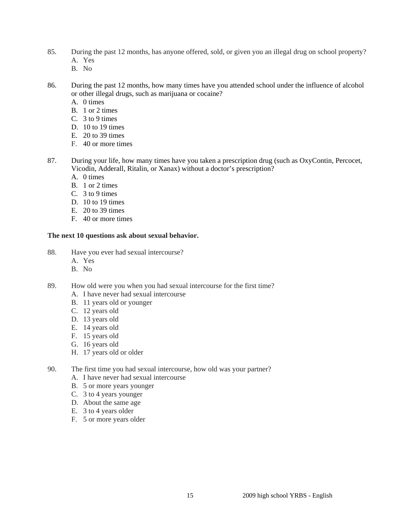- 85. During the past 12 months, has anyone offered, sold, or given you an illegal drug on school property? A. Yes
	- B. No
- 86. During the past 12 months, how many times have you attended school under the influence of alcohol or other illegal drugs, such as marijuana or cocaine?
	- A. 0 times
	- B. 1 or 2 times
	- C. 3 to 9 times
	- D. 10 to 19 times
	- E. 20 to 39 times
	- F. 40 or more times
- 87. During your life, how many times have you taken a prescription drug (such as OxyContin, Percocet, Vicodin, Adderall, Ritalin, or Xanax) without a doctor's prescription?
	- A. 0 times
	- B. 1 or 2 times
	- C. 3 to 9 times
	- D. 10 to 19 times
	- E. 20 to 39 times
	- F. 40 or more times

# **The next 10 questions ask about sexual behavior.**

- 88. Have you ever had sexual intercourse?
	- A. Yes
	- B. No
- 89. How old were you when you had sexual intercourse for the first time?
	- A. I have never had sexual intercourse
	- B. 11 years old or younger
	- C. 12 years old
	- D. 13 years old
	- E. 14 years old
	- F. 15 years old
	- G. 16 years old
	- H. 17 years old or older
- 90. The first time you had sexual intercourse, how old was your partner?
	- A. I have never had sexual intercourse
	- B. 5 or more years younger
	- C. 3 to 4 years younger
	- D. About the same age
	- E. 3 to 4 years older
	- F. 5 or more years older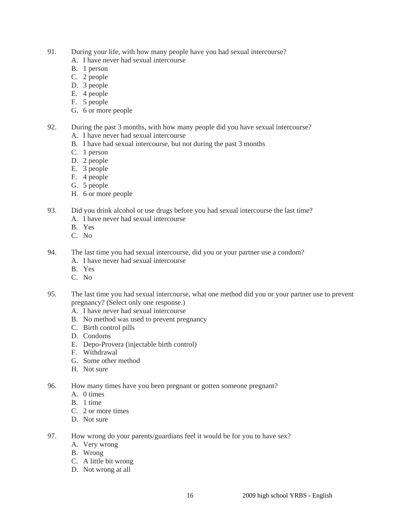- 91. During your life, with how many people have you had sexual intercourse?
	- A. I have never had sexual intercourse
	- B. 1 person
	- C. 2 people
	- D. 3 people
	- E. 4 people
	- F. 5 people
	- G. 6 or more people
- 92. During the past 3 months, with how many people did you have sexual intercourse?
	- A. I have never had sexual intercourse
	- B. I have had sexual intercourse, but not during the past 3 months
	- C. 1 person
	- D. 2 people
	- E. 3 people
	- F. 4 people
	- G. 5 people
	- H. 6 or more people
- 93. Did you drink alcohol or use drugs before you had sexual intercourse the last time?
	- A. I have never had sexual intercourse
	- B. Yes
	- C. No
- 94. The last time you had sexual intercourse, did you or your partner use a condom?
	- A. I have never had sexual intercourse
	- B. Yes
	- C. No
- 95. The last time you had sexual intercourse, what one method did you or your partner use to prevent pregnancy? (Select only one response.)
	- A. I have never had sexual intercourse
	- B. No method was used to prevent pregnancy
	- C. Birth control pills
	- D. Condoms
	- E. Depo-Provera (injectable birth control)
	- F. Withdrawal
	- G. Some other method
	- H. Not sure
- 96. How many times have you been pregnant or gotten someone pregnant?
	- A. 0 times
	- B. 1 time
	- C. 2 or more times
	- D. Not sure
- 97. How wrong do your parents/guardians feel it would be for you to have sex?
	- A. Very wrong
	- B. Wrong
	- C. A little bit wrong
	- D. Not wrong at all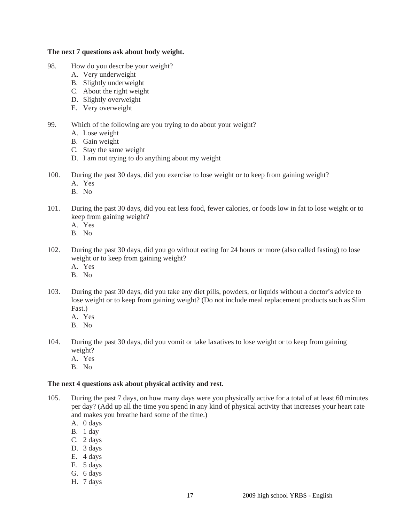### **The next 7 questions ask about body weight.**

- 98. How do you describe your weight?
	- A. Very underweight
	- B. Slightly underweight
	- C. About the right weight
	- D. Slightly overweight
	- E. Very overweight
- 99. Which of the following are you trying to do about your weight?
	- A. Lose weight
	- B. Gain weight
	- C. Stay the same weight
	- D. I am not trying to do anything about my weight
- 100. During the past 30 days, did you exercise to lose weight or to keep from gaining weight?
	- A. Yes
	- B. No
- 101. During the past 30 days, did you eat less food, fewer calories, or foods low in fat to lose weight or to keep from gaining weight?
	- A. Yes
	- B. No
- 102. During the past 30 days, did you go without eating for 24 hours or more (also called fasting) to lose weight or to keep from gaining weight?
	- A. Yes
	- B. No
- 103. During the past 30 days, did you take any diet pills, powders, or liquids without a doctor's advice to lose weight or to keep from gaining weight? (Do not include meal replacement products such as Slim Fast.)
	- A. Yes
	- B. No
- 104. During the past 30 days, did you vomit or take laxatives to lose weight or to keep from gaining weight?
	- A. Yes
	- B. No

#### **The next 4 questions ask about physical activity and rest.**

- 105. During the past 7 days, on how many days were you physically active for a total of at least 60 minutes per day? (Add up all the time you spend in any kind of physical activity that increases your heart rate and makes you breathe hard some of the time.)
	- A. 0 days
	- B. 1 day
	- C. 2 days
	- D. 3 days
	- E. 4 days
	- F. 5 days
	- G. 6 days
	- H. 7 days